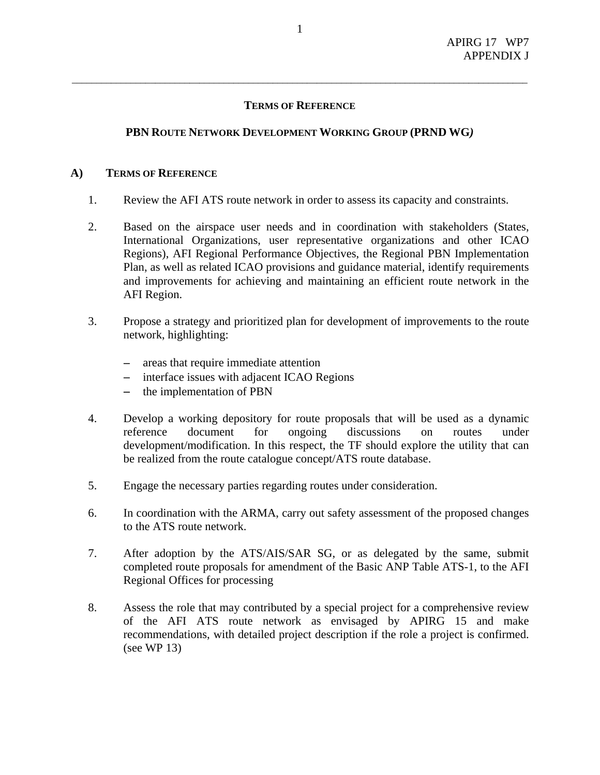# **TERMS OF REFERENCE**

\_\_\_\_\_\_\_\_\_\_\_\_\_\_\_\_\_\_\_\_\_\_\_\_\_\_\_\_\_\_\_\_\_\_\_\_\_\_\_\_\_\_\_\_\_\_\_\_\_\_\_\_\_\_\_\_\_\_\_\_\_\_\_\_\_\_\_\_\_\_\_\_\_\_\_\_\_\_\_\_\_\_\_\_\_\_\_\_\_\_\_\_\_

# **PBN ROUTE NETWORK DEVELOPMENT WORKING GROUP (PRND WG***)*

### **A) TERMS OF REFERENCE**

- 1. Review the AFI ATS route network in order to assess its capacity and constraints.
- 2. Based on the airspace user needs and in coordination with stakeholders (States, International Organizations, user representative organizations and other ICAO Regions), AFI Regional Performance Objectives, the Regional PBN Implementation Plan, as well as related ICAO provisions and guidance material, identify requirements and improvements for achieving and maintaining an efficient route network in the AFI Region.
- 3. Propose a strategy and prioritized plan for development of improvements to the route network, highlighting:
	- − areas that require immediate attention
	- − interface issues with adjacent ICAO Regions
	- the implementation of PBN
- 4. Develop a working depository for route proposals that will be used as a dynamic reference document for ongoing discussions on routes under development/modification. In this respect, the TF should explore the utility that can be realized from the route catalogue concept/ATS route database.
- 5. Engage the necessary parties regarding routes under consideration.
- 6. In coordination with the ARMA, carry out safety assessment of the proposed changes to the ATS route network.
- 7. After adoption by the ATS/AIS/SAR SG, or as delegated by the same, submit completed route proposals for amendment of the Basic ANP Table ATS-1, to the AFI Regional Offices for processing
- 8. Assess the role that may contributed by a special project for a comprehensive review of the AFI ATS route network as envisaged by APIRG 15 and make recommendations, with detailed project description if the role a project is confirmed. (see WP 13)